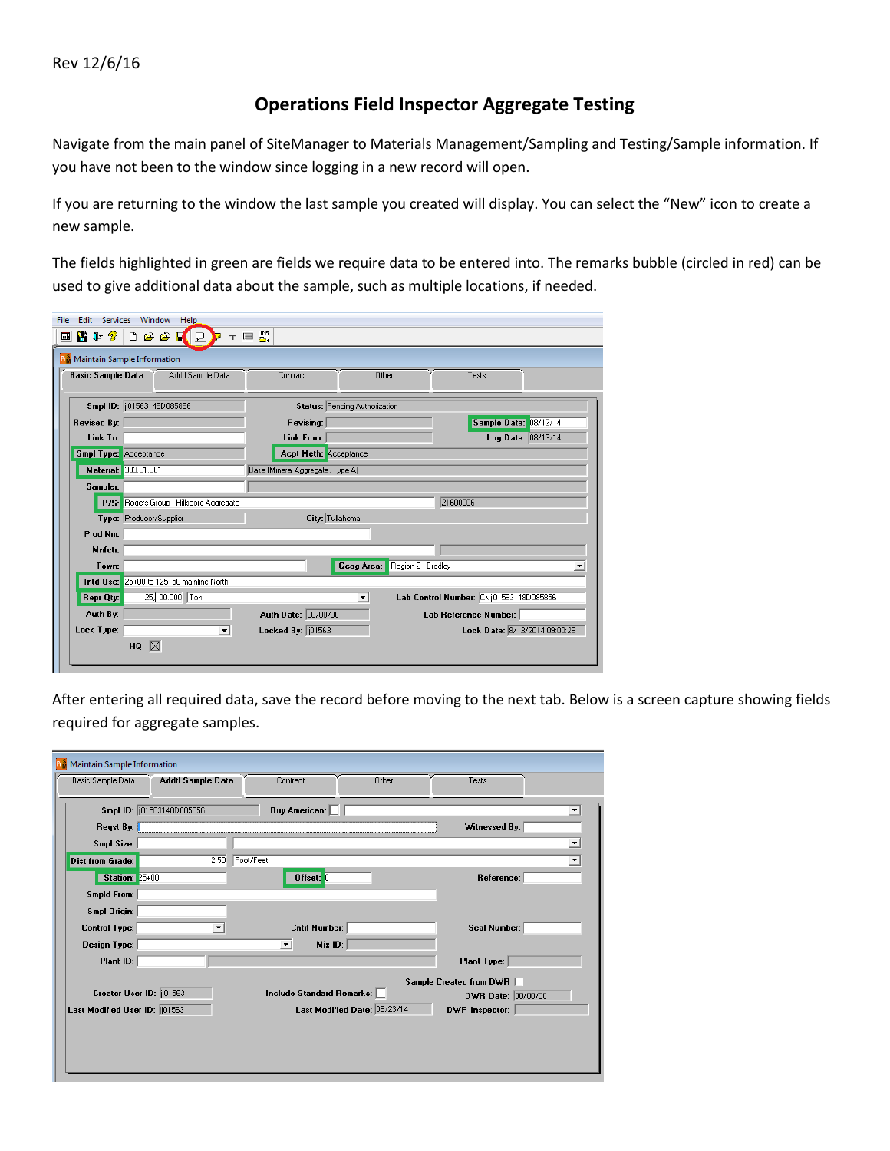## **Operations Field Inspector Aggregate Testing**

Navigate from the main panel of SiteManager to Materials Management/Sampling and Testing/Sample information. If you have not been to the window since logging in a new record will open.

If you are returning to the window the last sample you created will display. You can select the "New" icon to create a new sample.

The fields highlighted in green are fields we require data to be entered into. The remarks bubble (circled in red) can be used to give additional data about the sample, such as multiple locations, if needed.

| <b>RM</b> Maintain Sample Information         |                                  |                                              |                               |
|-----------------------------------------------|----------------------------------|----------------------------------------------|-------------------------------|
| <b>Basic Sample Data</b><br>Addtl Sample Data | Contract                         | Other<br>Tests                               |                               |
| Smpl ID: [101563148D085856]                   | Status: Pending Authorization    |                                              |                               |
| <b>Revised By:</b>                            | Revising:                        |                                              | Sample Date: 08/12/14         |
| Link To:                                      | Link From:                       |                                              | Log Date: 08/13/14            |
| <b>Smpl Type:</b> Acceptance                  | Acpt Meth: Acceptance            |                                              |                               |
| Material: 303.01.001                          | Base (Mineral Aggregate, Type A) |                                              |                               |
| Sampler:                                      |                                  |                                              |                               |
| P/S: Rogers Group - Hillsboro Aggregate       |                                  | 21600006                                     |                               |
| Type: Producer/Supplier                       | City: Tullahoma                  |                                              |                               |
| Prod Nm:                                      |                                  |                                              |                               |
| Mnfctr:                                       |                                  |                                              |                               |
| Town:                                         |                                  | Region 2 - Bradley<br>Geog Area:             |                               |
| Intd Use: 25+00 to 125+50 mainline North      |                                  |                                              |                               |
| 25,100.000 Ton<br><b>Repr Qty:</b>            |                                  | Lab Control Number: CNij01563148D085856<br>ᅬ |                               |
| Auth By:                                      | Auth Date: 00/00/00              | Lab Reference Number:                        |                               |
|                                               |                                  |                                              | Lock Date: 8/13/2014 09:00:29 |

After entering all required data, save the record before moving to the next tab. Below is a screen capture showing fields required for aggregate samples.

| Maintain Sample Information    |                            |                                |                              |                                                 |                     |
|--------------------------------|----------------------------|--------------------------------|------------------------------|-------------------------------------------------|---------------------|
| Basic Sample Data              | Addtl Sample Data          | Contract                       | Other                        | Tests                                           |                     |
|                                | Smpl ID: (01563148D085856) | <b>Buy American:</b>           |                              |                                                 |                     |
| Reqst By:                      |                            |                                |                              | Witnessed By:                                   |                     |
| Smpl Size:                     |                            |                                |                              |                                                 | ᅬ                   |
| Dist from Grade:               | 2.50                       | Foot/Feet                      |                              |                                                 | $\vert \cdot \vert$ |
| <b>Station: 25+00</b>          |                            | Offset: 0                      |                              | Reference:                                      |                     |
| Smpld From:                    |                            |                                |                              |                                                 |                     |
| Smpl Origin:                   |                            |                                |                              |                                                 |                     |
| Control Type:                  |                            | Cntrl Number:                  |                              | Seal Number:                                    |                     |
| Design Type:<br>Plant ID:      |                            | Mix ID:<br>$\vert \cdot \vert$ |                              |                                                 |                     |
|                                |                            |                                |                              | Plant Type:                                     |                     |
| Creator User ID: 01563         |                            | Include Standard Remarks: [    |                              | Sample Created from DWR □<br>DWR Date: 00/00/00 |                     |
| Last Modified User ID: [[01563 |                            |                                | Last Modified Date: 09/23/14 | <b>DWR</b> Inspector:                           |                     |
|                                |                            |                                |                              |                                                 |                     |
|                                |                            |                                |                              |                                                 |                     |
|                                |                            |                                |                              |                                                 |                     |
|                                |                            |                                |                              |                                                 |                     |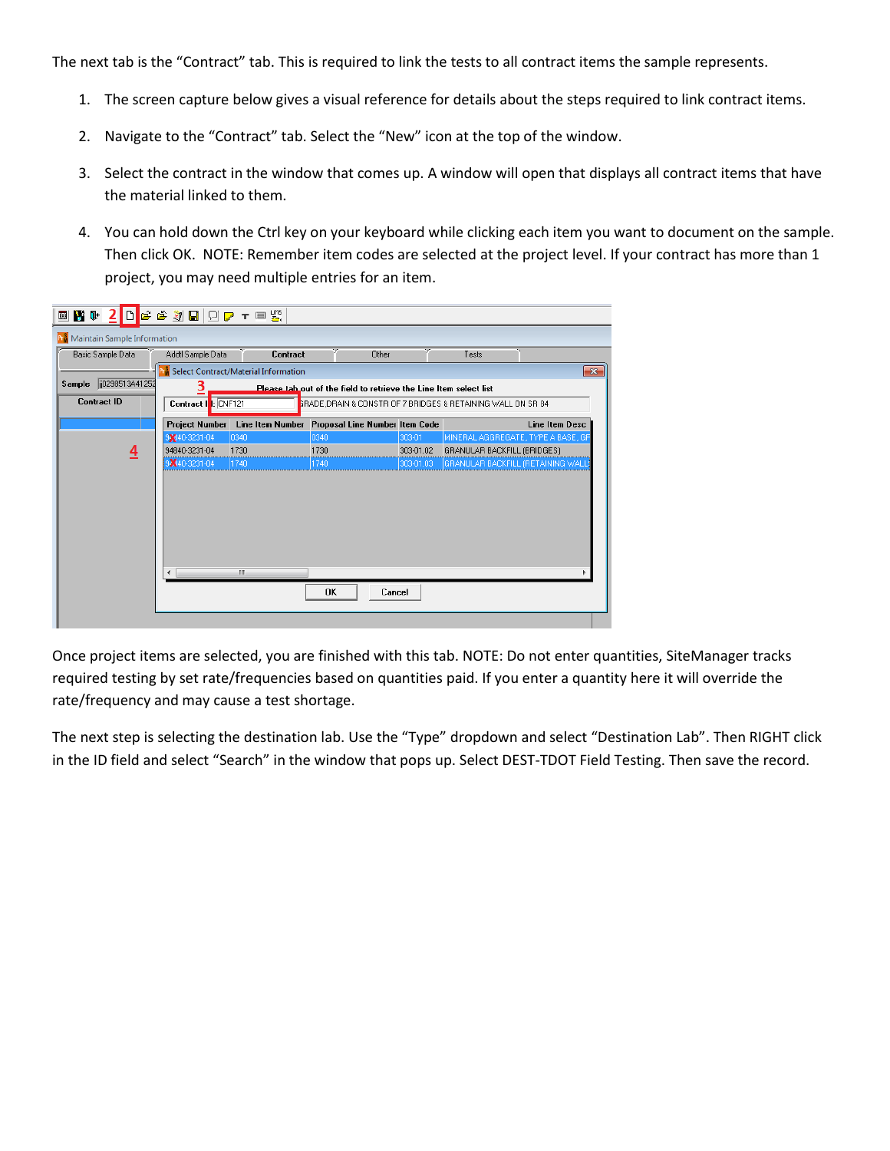The next tab is the "Contract" tab. This is required to link the tests to all contract items the sample represents.

- 1. The screen capture below gives a visual reference for details about the steps required to link contract items.
- 2. Navigate to the "Contract" tab. Select the "New" icon at the top of the window.
- 3. Select the contract in the window that comes up. A window will open that displays all contract items that have the material linked to them.
- 4. You can hold down the Ctrl key on your keyboard while clicking each item you want to document on the sample. Then click OK. NOTE: Remember item codes are selected at the project level. If your contract has more than 1 project, you may need multiple entries for an item.

| Maintain Sample Information<br>Basic Sample Data | Addtl Sample Data                     | Contract                                                   | Other                                                                                                                            |                        | Tests                                                             |                       |
|--------------------------------------------------|---------------------------------------|------------------------------------------------------------|----------------------------------------------------------------------------------------------------------------------------------|------------------------|-------------------------------------------------------------------|-----------------------|
| ii0298513A41252<br>Sample<br><b>Contract ID</b>  | 3<br>Contract    : CNF121             | <b>R</b> <sup>S</sup> Select Contract/Material Information | Please tab out of the field to retrieve the Line Item select list<br>GRADE DRAIN & CONSTRIOF 7 BRIDGES & RETAINING WALL ON SR 84 |                        |                                                                   | $\mathbf{x}$          |
|                                                  | <b>Project Number</b><br>9340-3231-04 | <b>Line Item Number</b><br>0340                            | Proposal Line Number Item Code<br>0340                                                                                           | 303-01                 | MINERAL AGGREGATE, TYPE A BASE, GF                                | <b>Line Item Desc</b> |
| 4                                                | 94840-3231-04<br>9×40-3231-04         | 1730<br>1740                                               | 1730<br>1740                                                                                                                     | 303-01.02<br>303-01.03 | GRANULAR BACKFILL (BRIDGES)<br>GRANULAR BACKFILL (RETAINING WALL) |                       |
|                                                  |                                       | m.                                                         |                                                                                                                                  |                        |                                                                   |                       |
|                                                  |                                       |                                                            | 0K<br>Cancel                                                                                                                     |                        |                                                                   |                       |

Once project items are selected, you are finished with this tab. NOTE: Do not enter quantities, SiteManager tracks required testing by set rate/frequencies based on quantities paid. If you enter a quantity here it will override the rate/frequency and may cause a test shortage.

The next step is selecting the destination lab. Use the "Type" dropdown and select "Destination Lab". Then RIGHT click in the ID field and select "Search" in the window that pops up. Select DEST-TDOT Field Testing. Then save the record.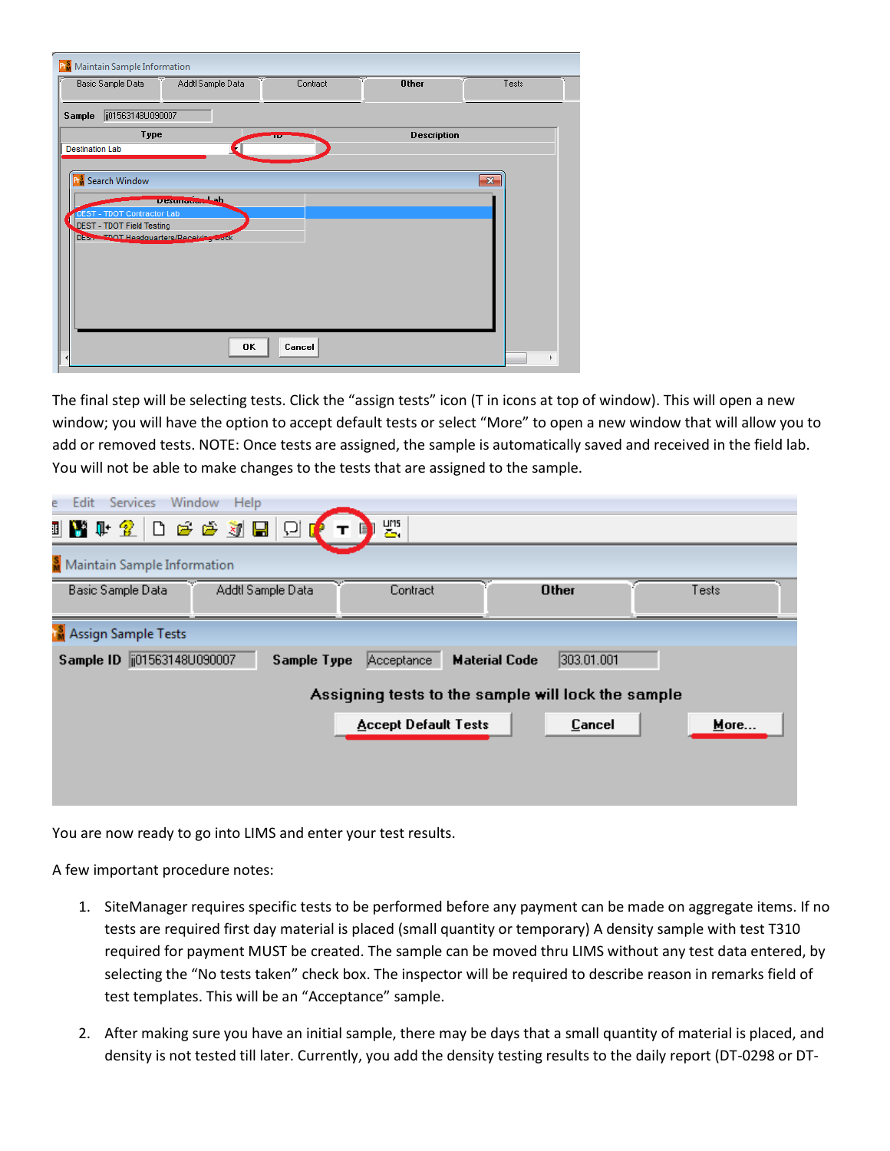| Maintain Sample Information<br>Pr.                      |                   |          |                    |              |
|---------------------------------------------------------|-------------------|----------|--------------------|--------------|
| Basic Sample Data                                       | Addtl Sample Data | Contract | <b>Other</b>       | Tests        |
| ji01563148U090007<br>Sample                             |                   |          |                    |              |
| Type                                                    | ٠                 | m        | <b>Description</b> |              |
| <b>Destination Lab</b>                                  |                   |          |                    |              |
| Search Window                                           |                   |          |                    | $\mathbf{x}$ |
|                                                         | Desunador Lah     |          |                    |              |
| DEST - TDOT Contractor Lab<br>DEST - TDOT Field Testing |                   |          |                    |              |
| Des restort Headquarters/Receiving bock                 |                   |          |                    |              |
|                                                         |                   |          |                    |              |
|                                                         |                   |          |                    |              |
|                                                         |                   |          |                    |              |
|                                                         |                   |          |                    |              |
|                                                         | 0K                | Cancel   |                    |              |

The final step will be selecting tests. Click the "assign tests" icon (T in icons at top of window). This will open a new window; you will have the option to accept default tests or select "More" to open a new window that will allow you to add or removed tests. NOTE: Once tests are assigned, the sample is automatically saved and received in the field lab. You will not be able to make changes to the tests that are assigned to the sample.

|                                      | Window<br>Help       |                             |                                                    |       |
|--------------------------------------|----------------------|-----------------------------|----------------------------------------------------|-------|
|                                      | UMIT 2 DEEYO I DI TI | 圈.                          |                                                    |       |
| <b>S</b> Maintain Sample Information |                      |                             |                                                    |       |
| Basic Sample Data                    | Addtl Sample Data    | Contract                    | <b>Other</b>                                       | Tests |
| <b>M</b> Assign Sample Tests         |                      |                             |                                                    |       |
| Sample ID   101563148U090007         | <b>Sample Type</b>   | Acceptance                  |                                                    |       |
|                                      |                      |                             | <b>Material Code</b><br>303.01.001                 |       |
|                                      |                      |                             | Assigning tests to the sample will lock the sample |       |
|                                      |                      | <b>Accept Default Tests</b> | Cancel                                             | More  |
|                                      |                      |                             |                                                    |       |

You are now ready to go into LIMS and enter your test results.

A few important procedure notes:

- 1. SiteManager requires specific tests to be performed before any payment can be made on aggregate items. If no tests are required first day material is placed (small quantity or temporary) A density sample with test T310 required for payment MUST be created. The sample can be moved thru LIMS without any test data entered, by selecting the "No tests taken" check box. The inspector will be required to describe reason in remarks field of test templates. This will be an "Acceptance" sample.
- 2. After making sure you have an initial sample, there may be days that a small quantity of material is placed, and density is not tested till later. Currently, you add the density testing results to the daily report (DT-0298 or DT-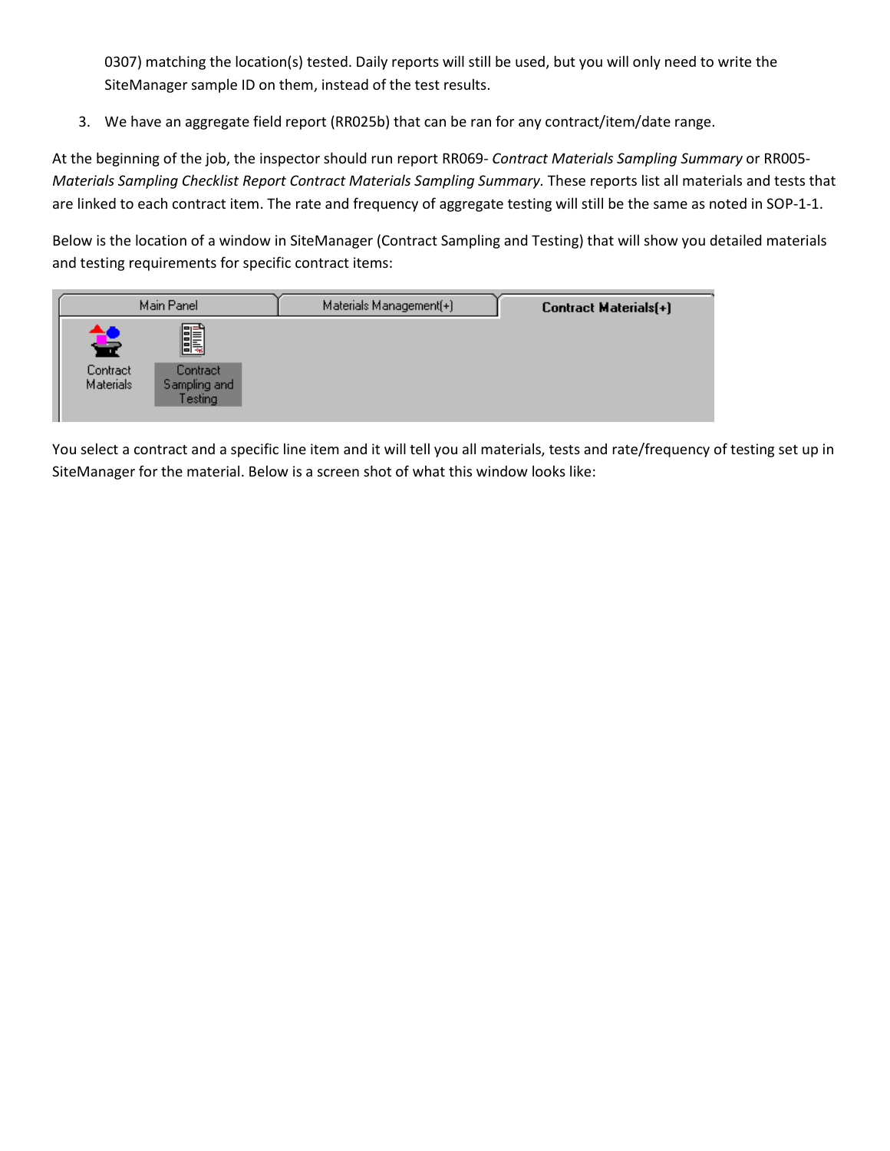0307) matching the location(s) tested. Daily reports will still be used, but you will only need to write the SiteManager sample ID on them, instead of the test results.

3. We have an aggregate field report (RR025b) that can be ran for any contract/item/date range.

At the beginning of the job, the inspector should run report RR069- *Contract Materials Sampling Summary* or RR005- *Materials Sampling Checklist Report Contract Materials Sampling Summary.* These reports list all materials and tests that are linked to each contract item. The rate and frequency of aggregate testing will still be the same as noted in SOP-1-1.

Below is the location of a window in SiteManager (Contract Sampling and Testing) that will show you detailed materials and testing requirements for specific contract items:

| Main Panel                                  | Materials Management(+) | <b>Contract Materials(+)</b> |
|---------------------------------------------|-------------------------|------------------------------|
| <u>Fi</u><br>萼<br>Contract<br>Contract      |                         |                              |
| <b>Materials</b><br>Sampling and<br>Festing |                         |                              |

You select a contract and a specific line item and it will tell you all materials, tests and rate/frequency of testing set up in SiteManager for the material. Below is a screen shot of what this window looks like: